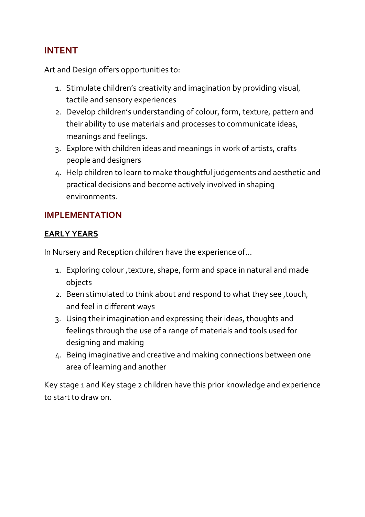## **INTENT**

Art and Design offers opportunities to:

- 1. Stimulate children's creativity and imagination by providing visual, tactile and sensory experiences
- 2. Develop children's understanding of colour, form, texture, pattern and their ability to use materials and processes to communicate ideas, meanings and feelings.
- 3. Explore with children ideas and meanings in work of artists, crafts people and designers
- 4. Help children to learn to make thoughtful judgements and aesthetic and practical decisions and become actively involved in shaping environments.

### **IMPLEMENTATION**

#### **EARLY YEARS**

In Nursery and Reception children have the experience of…

- 1. Exploring colour ,texture, shape, form and space in natural and made objects
- 2. Been stimulated to think about and respond to what they see ,touch, and feel in different ways
- 3. Using their imagination and expressing their ideas, thoughts and feelings through the use of a range of materials and tools used for designing and making
- 4. Being imaginative and creative and making connections between one area of learning and another

Key stage 1 and Key stage 2 children have this prior knowledge and experience to start to draw on.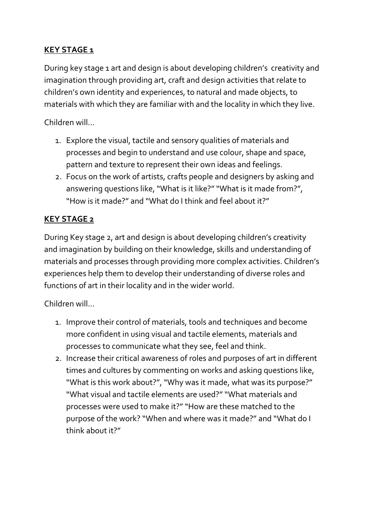# **KEY STAGE 1**

During key stage 1 art and design is about developing children's creativity and imagination through providing art, craft and design activities that relate to children's own identity and experiences, to natural and made objects, to materials with which they are familiar with and the locality in which they live.

## Children will…

- 1. Explore the visual, tactile and sensory qualities of materials and processes and begin to understand and use colour, shape and space, pattern and texture to represent their own ideas and feelings.
- 2. Focus on the work of artists, crafts people and designers by asking and answering questions like, "What is it like?" "What is it made from?", "How is it made?" and "What do I think and feel about it?"

## **KEY STAGE 2**

During Key stage 2, art and design is about developing children's creativity and imagination by building on their knowledge, skills and understanding of materials and processes through providing more complex activities. Children's experiences help them to develop their understanding of diverse roles and functions of art in their locality and in the wider world.

Children will...

- 1. Improve their control of materials, tools and techniques and become more confident in using visual and tactile elements, materials and processes to communicate what they see, feel and think.
- 2. Increase their critical awareness of roles and purposes of art in different times and cultures by commenting on works and asking questions like, "What is this work about?", "Why was it made, what was its purpose?" "What visual and tactile elements are used?" "What materials and processes were used to make it?" "How are these matched to the purpose of the work? "When and where was it made?" and "What do I think about it?"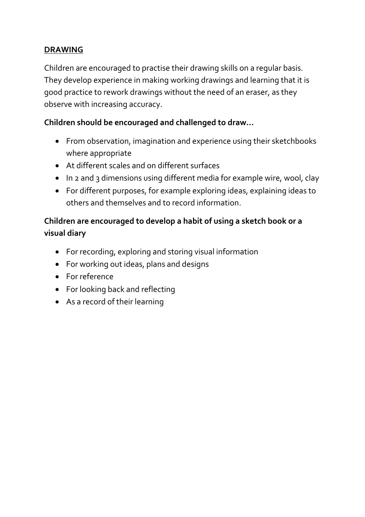## **DRAWING**

Children are encouraged to practise their drawing skills on a regular basis. They develop experience in making working drawings and learning that it is good practice to rework drawings without the need of an eraser, as they observe with increasing accuracy.

### **Children should be encouraged and challenged to draw…**

- From observation, imagination and experience using their sketchbooks where appropriate
- At different scales and on different surfaces
- In 2 and 3 dimensions using different media for example wire, wool, clay
- For different purposes, for example exploring ideas, explaining ideas to others and themselves and to record information.

# **Children are encouraged to develop a habit of using a sketch book or a visual diary**

- For recording, exploring and storing visual information
- For working out ideas, plans and designs
- For reference
- For looking back and reflecting
- As a record of their learning